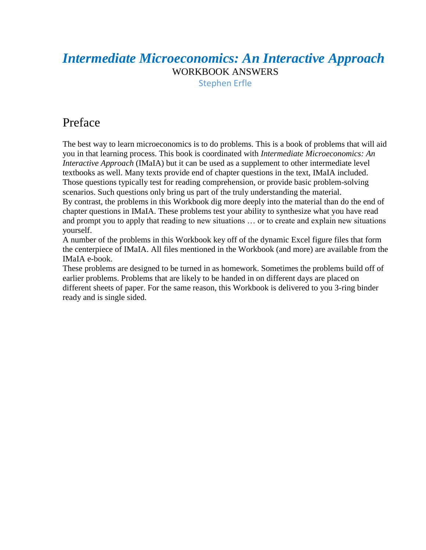# *Intermediate Microeconomics: An Interactive Approach* WORKBOOK ANSWERS

Stephen Erfle

## Preface

The best way to learn microeconomics is to do problems. This is a book of problems that will aid you in that learning process. This book is coordinated with *Intermediate Microeconomics: An Interactive Approach* (IMaIA) but it can be used as a supplement to other intermediate level textbooks as well. Many texts provide end of chapter questions in the text, IMaIA included. Those questions typically test for reading comprehension, or provide basic problem-solving scenarios. Such questions only bring us part of the truly understanding the material. By contrast, the problems in this Workbook dig more deeply into the material than do the end of chapter questions in IMaIA. These problems test your ability to synthesize what you have read and prompt you to apply that reading to new situations … or to create and explain new situations yourself.

A number of the problems in this Workbook key off of the dynamic Excel figure files that form the centerpiece of IMaIA. All files mentioned in the Workbook (and more) are available from the IMaIA e-book.

These problems are designed to be turned in as homework. Sometimes the problems build off of earlier problems. Problems that are likely to be handed in on different days are placed on different sheets of paper. For the same reason, this Workbook is delivered to you 3-ring binder ready and is single sided.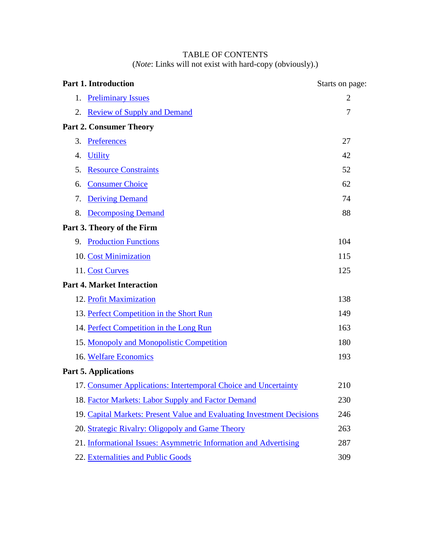### TABLE OF CONTENTS (*Note*: Links will not exist with hard-copy (obviously).)

| <b>Part 1. Introduction</b>                                            | Starts on page: |
|------------------------------------------------------------------------|-----------------|
| <b>Preliminary Issues</b><br>1.                                        | $\overline{2}$  |
| <b>Review of Supply and Demand</b><br>2.                               | 7               |
| <b>Part 2. Consumer Theory</b>                                         |                 |
| Preferences<br>3.                                                      | 27              |
| <b>Utility</b><br>4.                                                   | 42              |
| 5.<br><b>Resource Constraints</b>                                      | 52              |
| <b>Consumer Choice</b><br>6.                                           | 62              |
| 7.<br><b>Deriving Demand</b>                                           | 74              |
| 8.<br><b>Decomposing Demand</b>                                        | 88              |
| Part 3. Theory of the Firm                                             |                 |
| 9. Production Functions                                                | 104             |
| 10. Cost Minimization                                                  | 115             |
| 11. Cost Curves                                                        | 125             |
| <b>Part 4. Market Interaction</b>                                      |                 |
| 12. Profit Maximization                                                | 138             |
| 13. Perfect Competition in the Short Run                               | 149             |
| 14. Perfect Competition in the Long Run                                | 163             |
| 15. Monopoly and Monopolistic Competition                              | 180             |
| 16. Welfare Economics                                                  | 193             |
| <b>Part 5. Applications</b>                                            |                 |
| 17. Consumer Applications: Intertemporal Choice and Uncertainty        | 210             |
| 18. Factor Markets: Labor Supply and Factor Demand                     | 230             |
| 19. Capital Markets: Present Value and Evaluating Investment Decisions | 246             |
| 20. Strategic Rivalry: Oligopoly and Game Theory                       | 263             |
| 21. Informational Issues: Asymmetric Information and Advertising       | 287             |
| 22. Externalities and Public Goods                                     | 309             |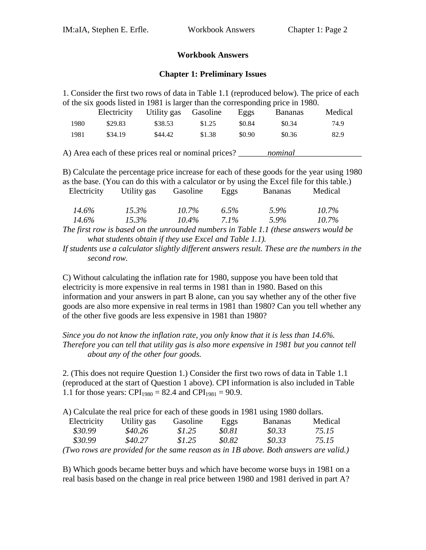#### **Workbook Answers**

#### **Chapter 1: Preliminary Issues**

<span id="page-2-0"></span>

| 1. Consider the first two rows of data in Table 1.1 (reproduced below). The price of each                                                                                                 |                               |                           |                           |        |                    |                      |  |  |  |
|-------------------------------------------------------------------------------------------------------------------------------------------------------------------------------------------|-------------------------------|---------------------------|---------------------------|--------|--------------------|----------------------|--|--|--|
| of the six goods listed in 1981 is larger than the corresponding price in 1980.                                                                                                           |                               |                           |                           |        |                    |                      |  |  |  |
|                                                                                                                                                                                           | Electricity                   | Utility gas               | Gasoline                  | Eggs   | <b>Bananas</b>     | Medical              |  |  |  |
| 1980                                                                                                                                                                                      | \$29.83                       | \$38.53                   | \$1.25                    | \$0.84 | \$0.34             | 74.9                 |  |  |  |
| 1981                                                                                                                                                                                      | \$34.19                       | \$44.42                   | \$1.38                    | \$0.90 | \$0.36             | 82.9                 |  |  |  |
| B) Calculate the percentage price increase for each of these goods for the year using 1980<br>as the base. (You can do this with a calculator or by using the Excel file for this table.) |                               |                           |                           |        |                    |                      |  |  |  |
| Electricity                                                                                                                                                                               |                               | Utility gas Gasoline Eggs |                           |        | <b>Bananas</b>     | Medical              |  |  |  |
| 14.6%                                                                                                                                                                                     | $15.3\%$<br>$14.6\%$ $15.3\%$ |                           | $10.7\%$<br>$10.4\%$ 7.1% | 6.5%   | $5.9\%$<br>$5.9\%$ | $10.7\%$<br>$10.7\%$ |  |  |  |
| The first row is based on the unrounded numbers in Table 1.1 (these answers would be                                                                                                      |                               |                           |                           |        |                    |                      |  |  |  |

*what students obtain if they use Excel and Table 1.1).* 

*If students use a calculator slightly different answers result. These are the numbers in the second row.*

C) Without calculating the inflation rate for 1980, suppose you have been told that electricity is more expensive in real terms in 1981 than in 1980. Based on this information and your answers in part B alone, can you say whether any of the other five goods are also more expensive in real terms in 1981 than 1980? Can you tell whether any of the other five goods are less expensive in 1981 than 1980?

*Since you do not know the inflation rate, you only know that it is less than 14.6%. Therefore you can tell that utility gas is also more expensive in 1981 but you cannot tell about any of the other four goods.*

2. (This does not require Question 1.) Consider the first two rows of data in Table 1.1 (reproduced at the start of Question 1 above). CPI information is also included in Table 1.1 for those years: CPI<sub>1980</sub> = 82.4 and CPI<sub>1981</sub> = 90.9.

A) Calculate the real price for each of these goods in 1981 using 1980 dollars.

| Electricity | Utility gas                     | Gasoline | Eggs     | <b>Bananas</b> | Medical |
|-------------|---------------------------------|----------|----------|----------------|---------|
| \$30.99     | \$40.26                         | \$1.25   | \$0.81   | \$0.33         | 75.15   |
| \$30.99     | \$40.27                         | \$1.25   | \$0.82   | \$0.33         | 75.15   |
| $\sqrt{1}$  | $\cdot$ $\cdot$ $\cdot$ $\cdot$ |          | $\cdots$ |                | , ,     |

*(Two rows are provided for the same reason as in 1B above. Both answers are valid.)*

B) Which goods became better buys and which have become worse buys in 1981 on a real basis based on the change in real price between 1980 and 1981 derived in part A?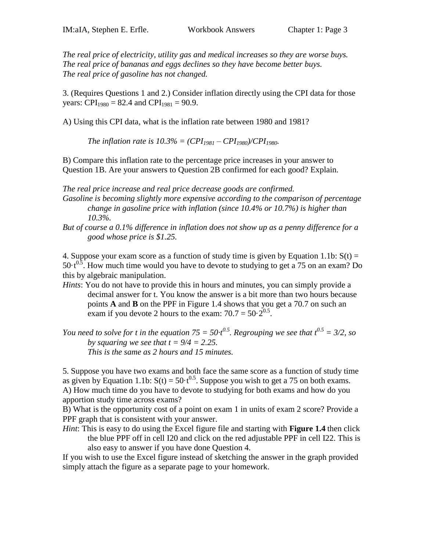*The real price of electricity, utility gas and medical increases so they are worse buys. The real price of bananas and eggs declines so they have become better buys. The real price of gasoline has not changed.*

3. (Requires Questions 1 and 2.) Consider inflation directly using the CPI data for those years: CPI<sub>1980</sub> = 82.4 and CPI<sub>1981</sub> = 90.9.

A) Using this CPI data, what is the inflation rate between 1980 and 1981?

*The inflation rate is*  $10.3\% = (CPI_{1981} - CPI_{1980})/CPI_{1980}$ *.* 

B) Compare this inflation rate to the percentage price increases in your answer to Question 1B. Are your answers to Question 2B confirmed for each good? Explain.

*The real price increase and real price decrease goods are confirmed. Gasoline is becoming slightly more expensive according to the comparison of percentage change in gasoline price with inflation (since 10.4% or 10.7%) is higher than 10.3%.* 

*But of course a 0.1% difference in inflation does not show up as a penny difference for a good whose price is \$1.25.* 

4. Suppose your exam score as a function of study time is given by Equation 1.1b:  $S(t) =$ 50 $\cdot$ t<sup>0.5</sup>. How much time would you have to devote to studying to get a 75 on an exam? Do this by algebraic manipulation.

*Hints*: You do not have to provide this in hours and minutes, you can simply provide a decimal answer for t. You know the answer is a bit more than two hours because points **A** and **B** on the PPF in Figure 1.4 shows that you get a 70.7 on such an exam if you devote 2 hours to the exam:  $70.7 = 50 \cdot 2^{0.5}$ .

*You need to solve for t in the equation 75 = 50* $\cdot t^{0.5}$ *. Regrouping we see that*  $t^{0.5} = 3/2$ *, so by squaring we see that*  $t = 9/4 = 2.25$ *. This is the same as 2 hours and 15 minutes.*

5. Suppose you have two exams and both face the same score as a function of study time as given by Equation 1.1b:  $S(t) = 50 \cdot t^{0.5}$ . Suppose you wish to get a 75 on both exams. A) How much time do you have to devote to studying for both exams and how do you apportion study time across exams?

B) What is the opportunity cost of a point on exam 1 in units of exam 2 score? Provide a PPF graph that is consistent with your answer.

*Hint*: This is easy to do using the Excel figure file and starting with **Figure 1.4** then click the blue PPF off in cell I20 and click on the red adjustable PPF in cell I22. This is also easy to answer if you have done Question 4.

If you wish to use the Excel figure instead of sketching the answer in the graph provided simply attach the figure as a separate page to your homework.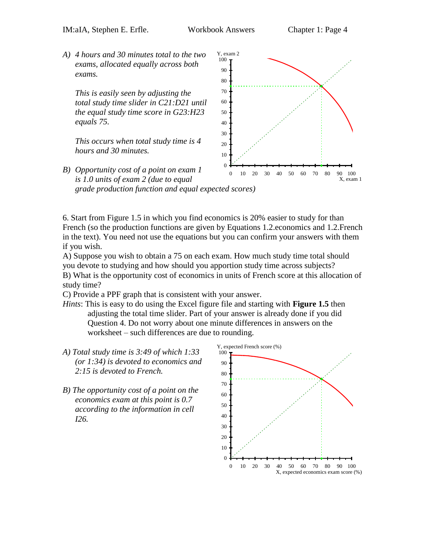Y, exam 2

*A) 4 hours and 30 minutes total to the two exams, allocated equally across both exams.*

*This is easily seen by adjusting the total study time slider in C21:D21 until the equal study time score in G23:H23 equals 75.* 

*This occurs when total study time is 4 hours and 30 minutes.* 

*B) Opportunity cost of a point on exam 1* 



*is 1.0 units of exam 2 (due to equal grade production function and equal expected scores)* 

6. Start from Figure 1.5 in which you find economics is 20% easier to study for than French (so the production functions are given by Equations 1.2.economics and 1.2.French in the text). You need not use the equations but you can confirm your answers with them if you wish.

A) Suppose you wish to obtain a 75 on each exam. How much study time total should you devote to studying and how should you apportion study time across subjects? B) What is the opportunity cost of economics in units of French score at this allocation of study time?

C) Provide a PPF graph that is consistent with your answer.

- *Hints*: This is easy to do using the Excel figure file and starting with **Figure 1.5** then adjusting the total time slider. Part of your answer is already done if you did Question 4. Do not worry about one minute differences in answers on the worksheet – such differences are due to rounding.
- *A) Total study time is 3:49 of which 1:33 (or 1:34) is devoted to economics and 2:15 is devoted to French.*
- *B) The opportunity cost of a point on the economics exam at this point is 0.7 according to the information in cell I26.*

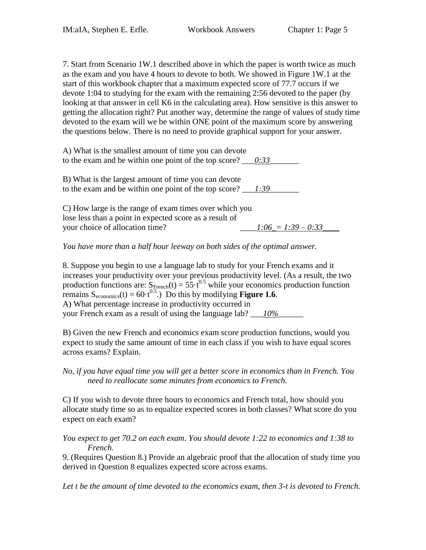7. Start from Scenario 1W.1 described above in which the paper is worth twice as much as the exam and you have 4 hours to devote to both. We showed in Figure 1W.1 at the start of this workbook chapter that a maximum expected score of 77.7 occurs if we devote 1:04 to studying for the exam with the remaining 2:56 devoted to the paper (by looking at that answer in cell K6 in the calculating area). How sensitive is this answer to getting the allocation right? Put another way, determine the range of values of study time devoted to the exam will we be within ONE point of the maximum score by answering the questions below. There is no need to provide graphical support for your answer.

A) What is the smallest amount of time you can devote to the exam and be within one point of the top score?  $\frac{0:33}{0:13}$ 

B) What is the largest amount of time you can devote to the exam and be within one point of the top score? \_\_\_\_\_\_\_\_\_\_\_\_\_\_\_\_\_\_\_\_\_\_\_\_\_\_\_

C) How large is the range of exam times over which you lose less than a point in expected score as a result of your choice of allocation time?  $1:06 = 1:39 - 0:33$ 

*You have more than a half hour leeway on both sides of the optimal answer.* 

8. Suppose you begin to use a language lab to study for your French exams and it increases your productivity over your previous productivity level. (As a result, the two production functions are:  $S_{\text{French}}(t) = 55 \cdot t^{0.5}$  while your economics production function remains  $S_{\text{economics}}(t) = 60 \cdot t^{0.5}$ .) Do this by modifying **Figure 1.6**. A) What percentage increase in productivity occurred in your French exam as a result of using the language lab? \_\_\_*10%*\_\_\_\_\_\_

B) Given the new French and economics exam score production functions, would you expect to study the same amount of time in each class if you wish to have equal scores across exams? Explain.

#### *No, if you have equal time you will get a better score in economics than in French. You need to reallocate some minutes from economics to French.*

C) If you wish to devote three hours to economics and French total, how should you allocate study time so as to equalize expected scores in both classes? What score do you expect on each exam?

*You expect to get 70.2 on each exam. You should devote 1:22 to economics and 1:38 to French.*

9. (Requires Question 8.) Provide an algebraic proof that the allocation of study time you derived in Question 8 equalizes expected score across exams.

*Let t be the amount of time devoted to the economics exam, then 3-t is devoted to French.*